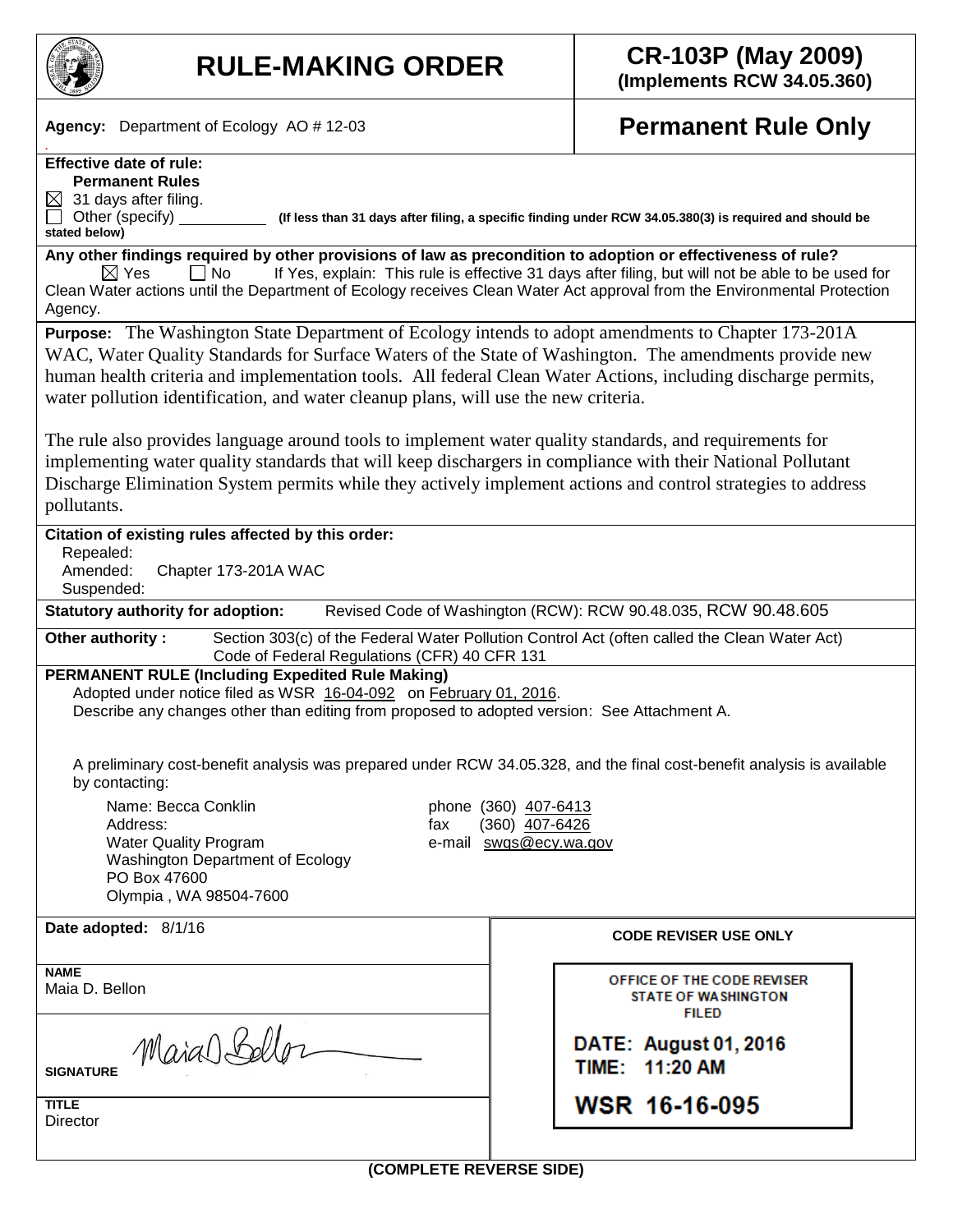

*.*

# **RULE-MAKING ORDER CR-103P (May 2009)**

**(Implements RCW 34.05.360)**

**Agency:** Department of Ecology AO # 12-03

## **Permanent Rule Only**

#### **Effective date of rule: Permanent Rules**

 $\boxtimes$  31 days after filing.

**stated below)**

Other (specify) **(If less than 31 days after filing, a specific finding under RCW 34.05.380(3) is required and should be** 

**Any other findings required by other provisions of law as precondition to adoption or effectiveness of rule?**  $\boxtimes$  Yes  $\Box$  No If Yes, explain: This rule is effective 31 days after filing, but will not be able to be used for Clean Water actions until the Department of Ecology receives Clean Water Act approval from the Environmental Protection Agency.

**Purpose:** The Washington State Department of Ecology intends to adopt amendments to Chapter 173-201A WAC, Water Quality Standards for Surface Waters of the State of Washington. The amendments provide new human health criteria and implementation tools. All federal Clean Water Actions, including discharge permits, water pollution identification, and water cleanup plans, will use the new criteria.

The rule also provides language around tools to implement water quality standards, and requirements for implementing water quality standards that will keep dischargers in compliance with their National Pollutant Discharge Elimination System permits while they actively implement actions and control strategies to address pollutants.

#### **Citation of existing rules affected by this order:** Repealed: Amended: Chapter 173-201A WAC Suspended: **Statutory authority for adoption:** Revised Code of Washington (RCW): RCW 90.48.035, RCW 90.48.605 **Other authority** : Section 303(c) of the Federal Water Pollution Control Act (often called the Clean Water Act) Code of Federal Regulations (CFR) 40 CFR 131 **PERMANENT RULE (Including Expedited Rule Making)** Adopted under notice filed as WSR16-04-092 on February 01, 2016. Describe any changes other than editing from proposed to adopted version: See Attachment A. A preliminary cost-benefit analysis was prepared under RCW 34.05.328, and the final cost-benefit analysis is available by contacting: Name: Becca Conklin phone (360) 407-6413 fax (360) 407-6426 Address: Water Quality Program e-mail swqs@ecy.wa.gov Washington Department of Ecology PO Box 47600 Olympia , WA 98504-7600 **Date adopted:** 8/1/16 **CODE REVISER USE ONLY NAME**  OFFICE OF THE CODE REVISER Maia D. Bellon **STATE OF WASHINGTON FILED** Maia Belloz **DATE: August 01, 2016** TIME: 11:20 AM **SIGNATURE TITLE** WSR 16-16-095 **Director**

**(COMPLETE REVERSE SIDE)**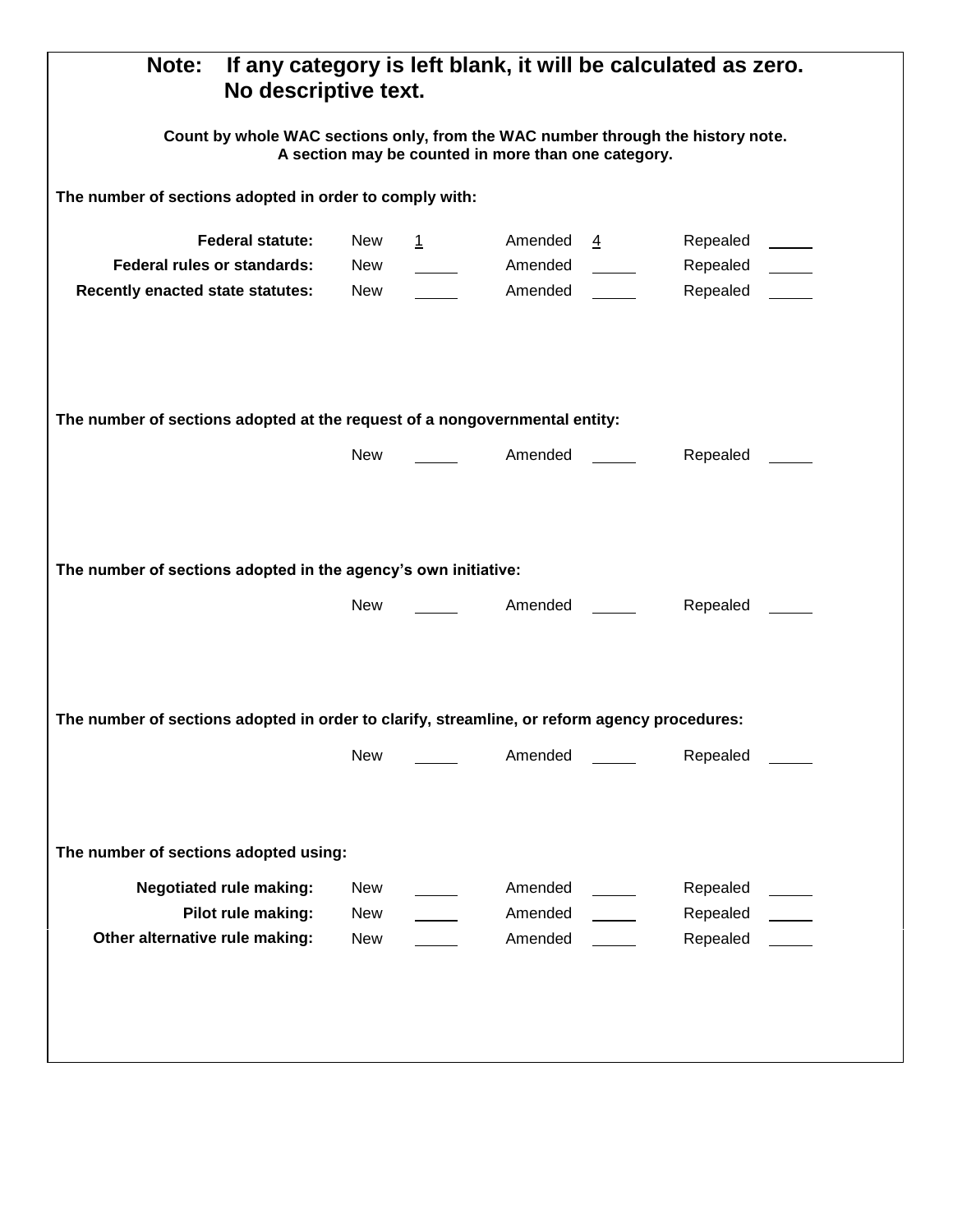| If any category is left blank, it will be calculated as zero.<br><b>Note:</b><br>No descriptive text.                                  |            |  |                                         |                                                         |
|----------------------------------------------------------------------------------------------------------------------------------------|------------|--|-----------------------------------------|---------------------------------------------------------|
| Count by whole WAC sections only, from the WAC number through the history note.<br>A section may be counted in more than one category. |            |  |                                         |                                                         |
| The number of sections adopted in order to comply with:                                                                                |            |  |                                         |                                                         |
| <b>Federal statute:</b>                                                                                                                | New        |  | 1 Amended 4                             | Repealed _____                                          |
| Federal rules or standards:                                                                                                            | <b>New</b> |  |                                         | Laborator Amended Laborator Repealed Laborator Repealed |
| <b>Recently enacted state statutes:</b>                                                                                                | New        |  | <b>Example 2</b> Amended <u>Example</u> | Repealed _____                                          |
| The number of sections adopted at the request of a nongovernmental entity:<br>New<br>Repealed _____                                    |            |  |                                         |                                                         |
|                                                                                                                                        |            |  |                                         |                                                         |
| The number of sections adopted in the agency's own initiative:                                                                         |            |  |                                         |                                                         |
|                                                                                                                                        | New        |  | <b>Example 1 Amended</b>                | Repealed ______                                         |
| The number of sections adopted in order to clarify, streamline, or reform agency procedures:                                           |            |  |                                         |                                                         |
|                                                                                                                                        | New        |  | Amended                                 | Repealed                                                |
| The number of sections adopted using:                                                                                                  |            |  |                                         |                                                         |
| <b>Negotiated rule making:</b>                                                                                                         | New        |  | Amended                                 | Repealed                                                |
| Pilot rule making:                                                                                                                     | <b>New</b> |  | Amended                                 | Repealed                                                |
| Other alternative rule making:                                                                                                         | New        |  | Amended                                 | Repealed                                                |
|                                                                                                                                        |            |  |                                         |                                                         |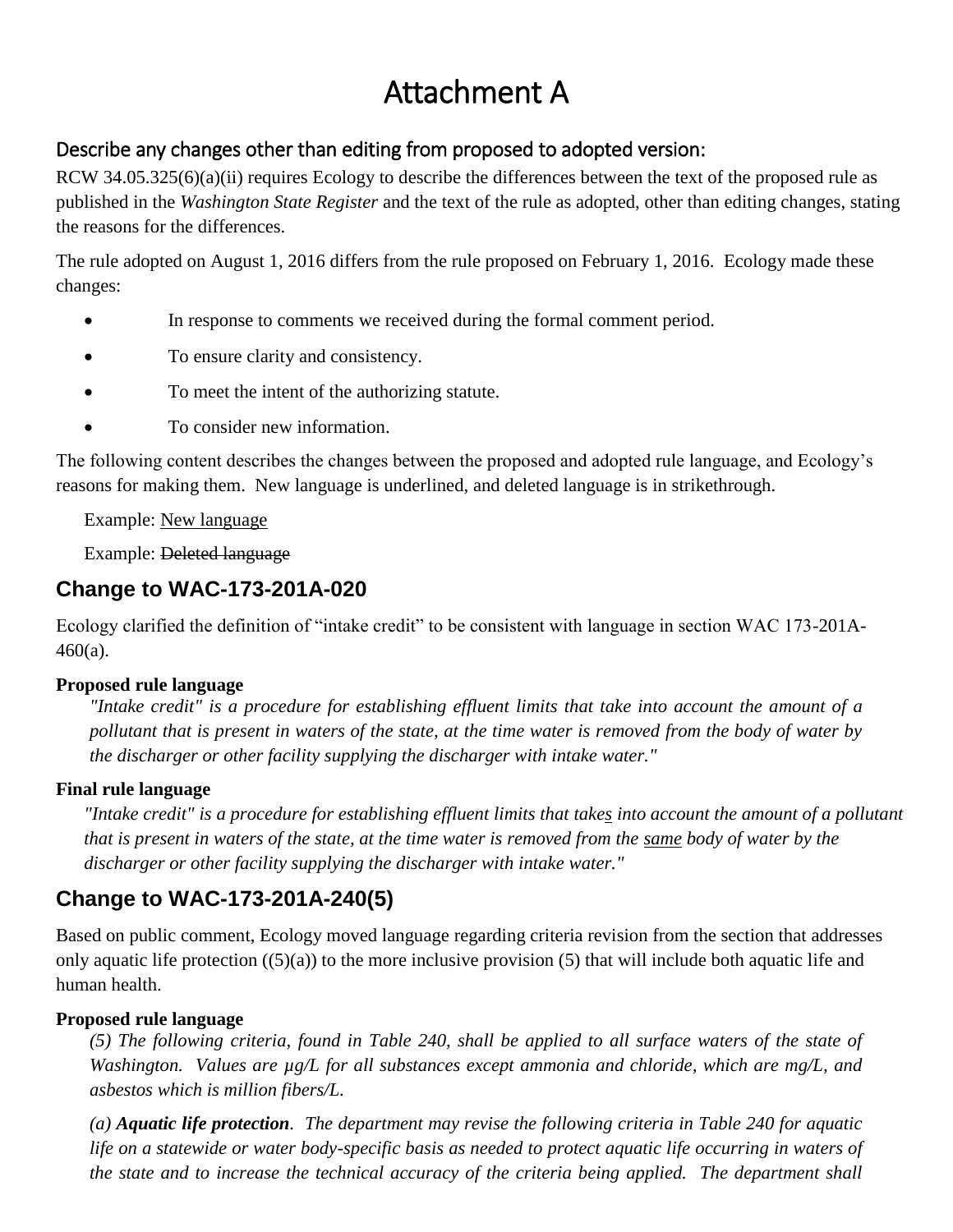# Attachment A

## Describe any changes other than editing from proposed to adopted version:

RCW 34.05.325(6)(a)(ii) requires Ecology to describe the differences between the text of the proposed rule as published in the *Washington State Register* and the text of the rule as adopted, other than editing changes, stating the reasons for the differences.

The rule adopted on August 1, 2016 differs from the rule proposed on February 1, 2016. Ecology made these changes:

- In response to comments we received during the formal comment period.
- To ensure clarity and consistency.
- To meet the intent of the authorizing statute.
- To consider new information.

The following content describes the changes between the proposed and adopted rule language, and Ecology's reasons for making them. New language is underlined, and deleted language is in strikethrough.

Example: New language

Example: Deleted language

## **Change to WAC-173-201A-020**

Ecology clarified the definition of "intake credit" to be consistent with language in section WAC 173-201A-460(a).

### **Proposed rule language**

*"Intake credit" is a procedure for establishing effluent limits that take into account the amount of a pollutant that is present in waters of the state, at the time water is removed from the body of water by the discharger or other facility supplying the discharger with intake water."*

### **Final rule language**

*"Intake credit" is a procedure for establishing effluent limits that takes into account the amount of a pollutant that is present in waters of the state, at the time water is removed from the same body of water by the discharger or other facility supplying the discharger with intake water."*

## **Change to WAC-173-201A-240(5)**

Based on public comment, Ecology moved language regarding criteria revision from the section that addresses only aquatic life protection  $(5)(a)$  to the more inclusive provision (5) that will include both aquatic life and human health.

### **Proposed rule language**

*(5) The following criteria, found in Table 240, shall be applied to all surface waters of the state of Washington. Values are µg/L for all substances except ammonia and chloride, which are mg/L, and asbestos which is million fibers/L.*

*(a) Aquatic life protection. The department may revise the following criteria in Table 240 for aquatic life on a statewide or water body-specific basis as needed to protect aquatic life occurring in waters of the state and to increase the technical accuracy of the criteria being applied. The department shall*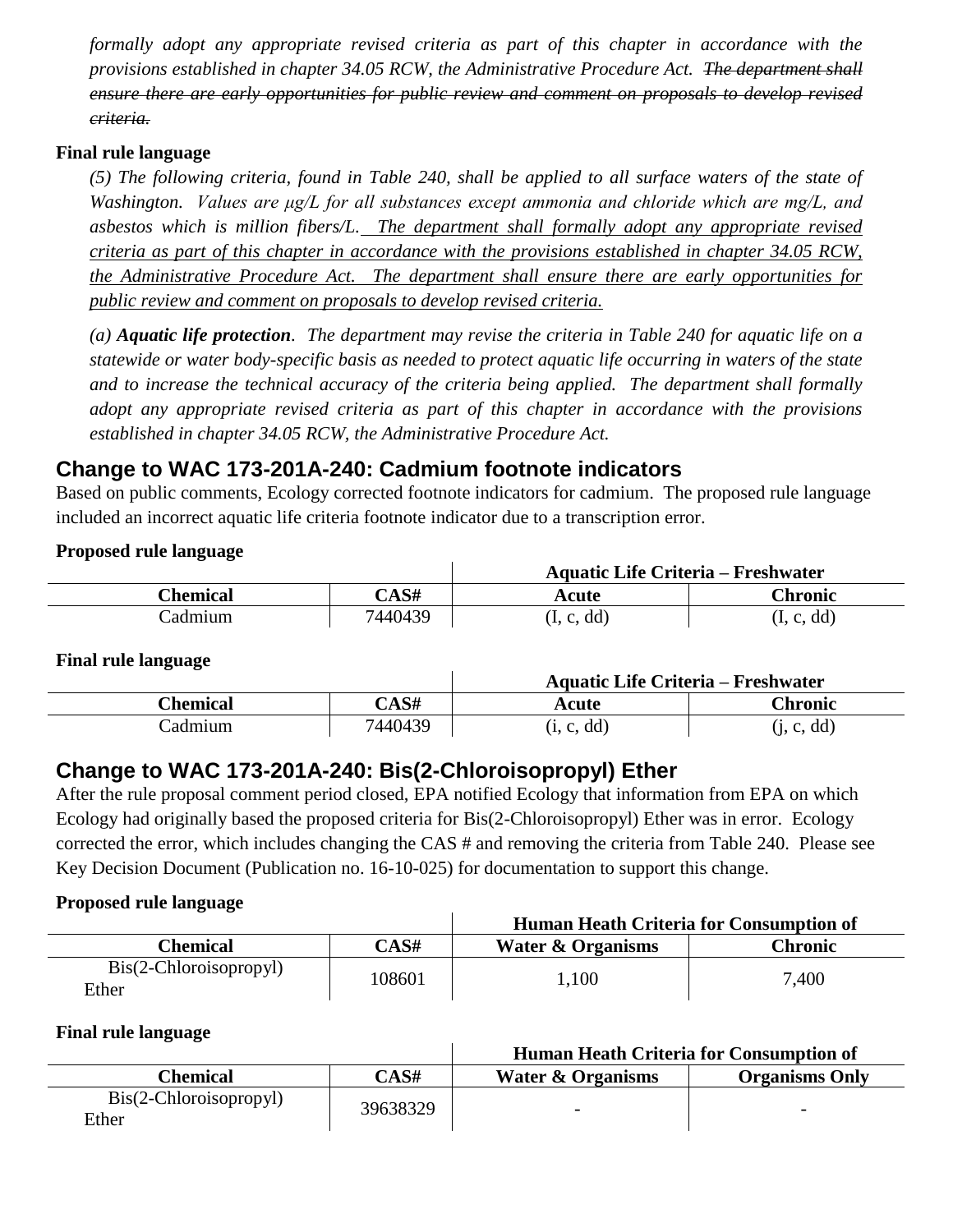*formally adopt any appropriate revised criteria as part of this chapter in accordance with the provisions established in chapter 34.05 RCW, the Administrative Procedure Act. The department shall ensure there are early opportunities for public review and comment on proposals to develop revised criteria.*

#### **Final rule language**

*(5) The following criteria, found in Table 240, shall be applied to all surface waters of the state of Washington. Values are μg/L for all substances except ammonia and chloride which are mg/L, and asbestos which is million fibers/L. The department shall formally adopt any appropriate revised criteria as part of this chapter in accordance with the provisions established in chapter 34.05 RCW, the Administrative Procedure Act. The department shall ensure there are early opportunities for public review and comment on proposals to develop revised criteria.*

*(a) Aquatic life protection. The department may revise the criteria in Table 240 for aquatic life on a statewide or water body-specific basis as needed to protect aquatic life occurring in waters of the state and to increase the technical accuracy of the criteria being applied. The department shall formally adopt any appropriate revised criteria as part of this chapter in accordance with the provisions established in chapter 34.05 RCW, the Administrative Procedure Act.*

## **Change to WAC 173-201A-240: Cadmium footnote indicators**

Based on public comments, Ecology corrected footnote indicators for cadmium. The proposed rule language included an incorrect aquatic life criteria footnote indicator due to a transcription error.

#### **Proposed rule language**

|                 |         |            | <b>Aquatic Life Criteria – Freshwater</b> |  |
|-----------------|---------|------------|-------------------------------------------|--|
| <b>Chemical</b> | CAS#    | Acute      | Chronic                                   |  |
| Cadmium         | 7440439 | (I, c, dd) | (I, c, dd)                                |  |

#### **Final rule language**

|          |         | <b>Aquatic Life Criteria – Freshwater</b> |            |  |
|----------|---------|-------------------------------------------|------------|--|
| Chemical | CAS#    | Acute                                     | Chronic    |  |
| Cadmium  | 7440439 | (i, c, dd)                                | (i, c, dd) |  |

## **Change to WAC 173-201A-240: Bis(2-Chloroisopropyl) Ether**

After the rule proposal comment period closed, EPA notified Ecology that information from EPA on which Ecology had originally based the proposed criteria for Bis(2-Chloroisopropyl) Ether was in error. Ecology corrected the error, which includes changing the CAS # and removing the criteria from Table 240. Please see Key Decision Document (Publication no. 16-10-025) for documentation to support this change.

#### **Proposed rule language**

|                                                |       | Human Heath Criteria for Consumption of |         |  |
|------------------------------------------------|-------|-----------------------------------------|---------|--|
| Chemical                                       | CAS#  | <b>Water &amp; Organisms</b>            | Chronic |  |
| $\text{Bis}(2-\text{Chloroisopropy})$<br>Ether | 08601 | .100                                    | 7,400   |  |

#### **Final rule language**

|                                                         |          |                              | <b>Human Heath Criteria for Consumption of</b> |  |
|---------------------------------------------------------|----------|------------------------------|------------------------------------------------|--|
| Chemical                                                | CAS#     | <b>Water &amp; Organisms</b> | <b>Organisms Only</b>                          |  |
| $\text{Bis}(2-\text{Chloroisop} \text{ropyl})$<br>Ether | 39638329 | $\overline{\phantom{0}}$     | $\overline{\phantom{0}}$                       |  |